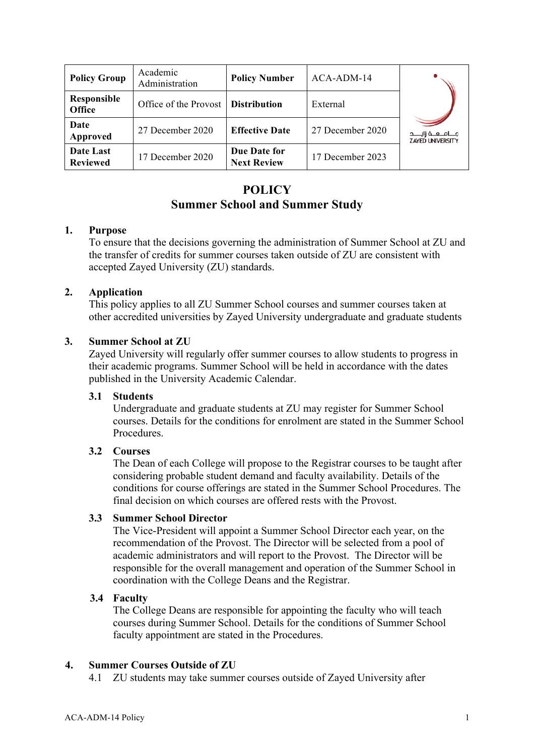| <b>Policy Group</b>          | Academic<br>Administration | <b>Policy Number</b>               | ACA-ADM-14       |                                                     |
|------------------------------|----------------------------|------------------------------------|------------------|-----------------------------------------------------|
| Responsible<br><b>Office</b> | Office of the Provost      | <b>Distribution</b>                | External         |                                                     |
| Date<br>Approved             | 27 December 2020           | <b>Effective Date</b>              | 27 December 2020 | مــــامـــــه زايــــــد<br><b>ZAYED UNIVERSITY</b> |
| Date Last<br><b>Reviewed</b> | 17 December 2020           | Due Date for<br><b>Next Review</b> | 17 December 2023 |                                                     |

# **POLICY Summer School and Summer Study**

### **1. Purpose**

To ensure that the decisions governing the administration of Summer School at ZU and the transfer of credits for summer courses taken outside of ZU are consistent with accepted Zayed University (ZU) standards.

### **2. Application**

This policy applies to all ZU Summer School courses and summer courses taken at other accredited universities by Zayed University undergraduate and graduate students

### **3. Summer School at ZU**

Zayed University will regularly offer summer courses to allow students to progress in their academic programs. Summer School will be held in accordance with the dates published in the University Academic Calendar.

#### **3.1 Students**

Undergraduate and graduate students at ZU may register for Summer School courses. Details for the conditions for enrolment are stated in the Summer School **Procedures** 

## **3.2 Courses**

The Dean of each College will propose to the Registrar courses to be taught after considering probable student demand and faculty availability. Details of the conditions for course offerings are stated in the Summer School Procedures. The final decision on which courses are offered rests with the Provost.

#### **3.3 Summer School Director**

The Vice-President will appoint a Summer School Director each year, on the recommendation of the Provost. The Director will be selected from a pool of academic administrators and will report to the Provost. The Director will be responsible for the overall management and operation of the Summer School in coordination with the College Deans and the Registrar.

## **3.4 Faculty**

The College Deans are responsible for appointing the faculty who will teach courses during Summer School. Details for the conditions of Summer School faculty appointment are stated in the Procedures.

## **4. Summer Courses Outside of ZU**

4.1 ZU students may take summer courses outside of Zayed University after